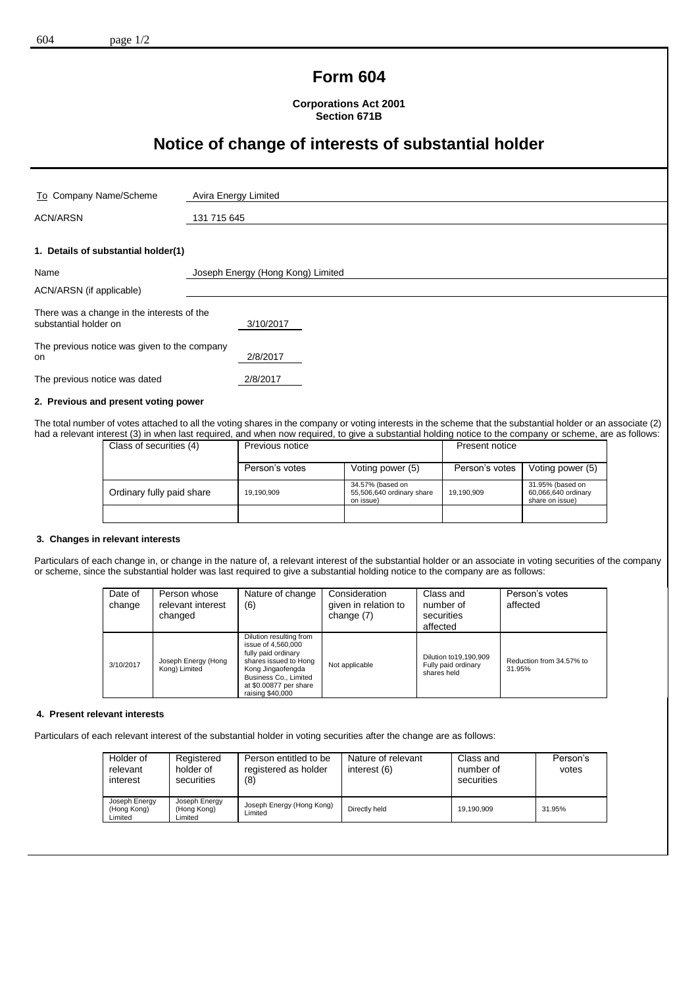# **Form 604**

**Corporations Act 2001 Section 671B**

# **Notice of change of interests of substantial holder**

| To Company Name/Scheme                                              | Avira Energy Limited              |
|---------------------------------------------------------------------|-----------------------------------|
| <b>ACN/ARSN</b>                                                     | 131 715 645                       |
|                                                                     |                                   |
| 1. Details of substantial holder(1)                                 |                                   |
| Name                                                                | Joseph Energy (Hong Kong) Limited |
| ACN/ARSN (if applicable)                                            |                                   |
| There was a change in the interests of the<br>substantial holder on | 3/10/2017                         |
| The previous notice was given to the company<br>on                  | 2/8/2017                          |
| The previous notice was dated                                       | 2/8/2017                          |
| A Boundary and not continued in a contr                             |                                   |

#### **2. Previous and present voting power**

The total number of votes attached to all the voting shares in the company or voting interests in the scheme that the substantial holder or an associate (2) had a relevant interest (3) in when last required, and when now required, to give a substantial holding notice to the company or scheme, are as follows:

| Class of securities (4)   | Previous notice |                                                            | Present notice |                                                            |
|---------------------------|-----------------|------------------------------------------------------------|----------------|------------------------------------------------------------|
|                           | Person's votes  | Voting power (5)                                           | Person's votes | Voting power (5)                                           |
| Ordinary fully paid share | 19,190,909      | 34.57% (based on<br>55,506,640 ordinary share<br>on issue) | 19,190,909     | 31.95% (based on<br>60,066,640 ordinary<br>share on issue) |
|                           |                 |                                                            |                |                                                            |

#### **3. Changes in relevant interests**

Particulars of each change in, or change in the nature of, a relevant interest of the substantial holder or an associate in voting securities of the company or scheme, since the substantial holder was last required to give a substantial holding notice to the company are as follows:

| Date of<br>change | Person whose<br>relevant interest<br>changed | Nature of change<br>(6)                                                                                                                                                                   | Consideration<br>given in relation to<br>change (7) | Class and<br>number of<br>securities<br>affected               | Person's votes<br>affected         |
|-------------------|----------------------------------------------|-------------------------------------------------------------------------------------------------------------------------------------------------------------------------------------------|-----------------------------------------------------|----------------------------------------------------------------|------------------------------------|
| 3/10/2017         | Joseph Energy (Hong<br>Kong) Limited         | Dilution resulting from<br>issue of 4,560,000<br>fully paid ordinary<br>shares issued to Hong<br>Kong Jingaofengda<br>Business Co., Limited<br>at \$0.00877 per share<br>raising \$40,000 | Not applicable                                      | Dilution to 19, 190, 909<br>Fully paid ordinary<br>shares held | Reduction from 34.57% to<br>31.95% |

### **4. Present relevant interests**

Particulars of each relevant interest of the substantial holder in voting securities after the change are as follows:

| Holder of<br>relevant<br>interest       | Registered<br>holder of<br>securities   | Person entitled to be<br>registered as holder<br>(8) | Nature of relevant<br>interest (6) | Class and<br>number of<br>securities | Person's<br>votes |
|-----------------------------------------|-----------------------------------------|------------------------------------------------------|------------------------------------|--------------------------------------|-------------------|
| Joseph Energy<br>(Hong Kong)<br>Limited | Joseph Energy<br>(Hong Kong)<br>Limited | Joseph Energy (Hong Kong)<br>Limited                 | Directly held                      | 19.190.909                           | 31.95%            |